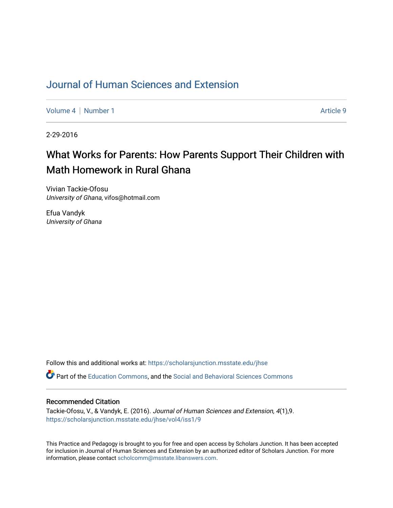## [Journal of Human Sciences and Extension](https://scholarsjunction.msstate.edu/jhse)

[Volume 4](https://scholarsjunction.msstate.edu/jhse/vol4) | [Number 1](https://scholarsjunction.msstate.edu/jhse/vol4/iss1) Article 9

2-29-2016

# What Works for Parents: How Parents Support Their Children with Math Homework in Rural Ghana

Vivian Tackie-Ofosu University of Ghana, vifos@hotmail.com

Efua Vandyk University of Ghana

Follow this and additional works at: [https://scholarsjunction.msstate.edu/jhse](https://scholarsjunction.msstate.edu/jhse?utm_source=scholarsjunction.msstate.edu%2Fjhse%2Fvol4%2Fiss1%2F9&utm_medium=PDF&utm_campaign=PDFCoverPages)

Part of the [Education Commons](http://network.bepress.com/hgg/discipline/784?utm_source=scholarsjunction.msstate.edu%2Fjhse%2Fvol4%2Fiss1%2F9&utm_medium=PDF&utm_campaign=PDFCoverPages), and the [Social and Behavioral Sciences Commons](http://network.bepress.com/hgg/discipline/316?utm_source=scholarsjunction.msstate.edu%2Fjhse%2Fvol4%2Fiss1%2F9&utm_medium=PDF&utm_campaign=PDFCoverPages) 

### Recommended Citation

Tackie-Ofosu, V., & Vandyk, E. (2016). Journal of Human Sciences and Extension, 4(1),9. [https://scholarsjunction.msstate.edu/jhse/vol4/iss1/9](https://scholarsjunction.msstate.edu/jhse/vol4/iss1/9?utm_source=scholarsjunction.msstate.edu%2Fjhse%2Fvol4%2Fiss1%2F9&utm_medium=PDF&utm_campaign=PDFCoverPages)

This Practice and Pedagogy is brought to you for free and open access by Scholars Junction. It has been accepted for inclusion in Journal of Human Sciences and Extension by an authorized editor of Scholars Junction. For more information, please contact [scholcomm@msstate.libanswers.com](mailto:scholcomm@msstate.libanswers.com).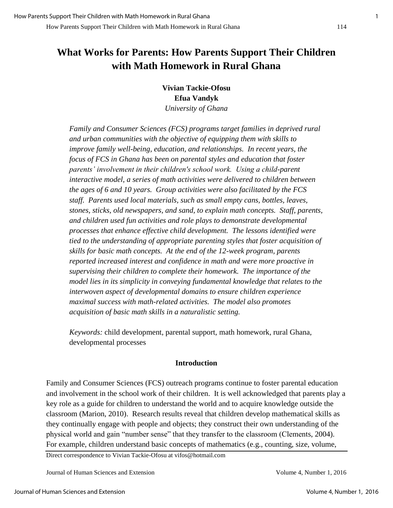## **What Works for Parents: How Parents Support Their Children with Math Homework in Rural Ghana**

**Vivian Tackie-Ofosu Efua Vandyk**  *University of Ghana* 

*Family and Consumer Sciences (FCS) programs target families in deprived rural and urban communities with the objective of equipping them with skills to improve family well-being, education, and relationships. In recent years, the focus of FCS in Ghana has been on parental styles and education that foster parents' involvement in their children's school work. Using a child-parent interactive model, a series of math activities were delivered to children between the ages of 6 and 10 years. Group activities were also facilitated by the FCS staff. Parents used local materials, such as small empty cans, bottles, leaves, stones, sticks, old newspapers, and sand, to explain math concepts. Staff, parents, and children used fun activities and role plays to demonstrate developmental processes that enhance effective child development. The lessons identified were tied to the understanding of appropriate parenting styles that foster acquisition of skills for basic math concepts. At the end of the 12-week program, parents reported increased interest and confidence in math and were more proactive in supervising their children to complete their homework. The importance of the model lies in its simplicity in conveying fundamental knowledge that relates to the interwoven aspect of developmental domains to ensure children experience maximal success with math-related activities. The model also promotes acquisition of basic math skills in a naturalistic setting.* 

*Keywords:* child development, parental support, math homework, rural Ghana, developmental processes

## **Introduction**

Family and Consumer Sciences (FCS) outreach programs continue to foster parental education and involvement in the school work of their children. It is well acknowledged that parents play a key role as a guide for children to understand the world and to acquire knowledge outside the classroom (Marion, 2010). Research results reveal that children develop mathematical skills as they continually engage with people and objects; they construct their own understanding of the physical world and gain "number sense" that they transfer to the classroom (Clements, 2004). For example, children understand basic concepts of mathematics (e.g., counting, size, volume,

Direct correspondence to Vivian Tackie-Ofosu at vifos@hotmail.com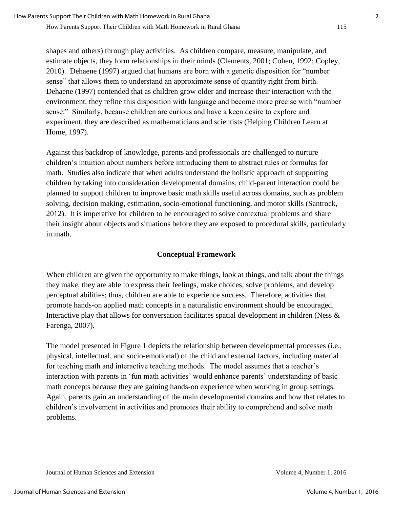How Parents Support Their Children with Math Homework in Rural Ghana 115

shapes and others) through play activities. As children compare, measure, manipulate, and estimate objects, they form relationships in their minds (Clements, 2001; Cohen, 1992; Copley, 2010). Dehaene (1997) argued that humans are born with a genetic disposition for "number sense" that allows them to understand an approximate sense of quantity right from birth. Dehaene (1997) contended that as children grow older and increase their interaction with the environment, they refine this disposition with language and become more precise with "number sense." Similarly, because children are curious and have a keen desire to explore and experiment, they are described as mathematicians and scientists (Helping Children Learn at Home, 1997).

Against this backdrop of knowledge, parents and professionals are challenged to nurture children's intuition about numbers before introducing them to abstract rules or formulas for math. Studies also indicate that when adults understand the holistic approach of supporting children by taking into consideration developmental domains, child-parent interaction could be planned to support children to improve basic math skills useful across domains, such as problem solving, decision making, estimation, socio-emotional functioning, and motor skills (Santrock, 2012). It is imperative for children to be encouraged to solve contextual problems and share their insight about objects and situations before they are exposed to procedural skills, particularly in math.

## **Conceptual Framework**

When children are given the opportunity to make things, look at things, and talk about the things they make, they are able to express their feelings, make choices, solve problems, and develop perceptual abilities; thus, children are able to experience success. Therefore, activities that promote hands-on applied math concepts in a naturalistic environment should be encouraged. Interactive play that allows for conversation facilitates spatial development in children (Ness & Farenga, 2007).

The model presented in Figure 1 depicts the relationship between developmental processes (i.e., physical, intellectual, and socio-emotional) of the child and external factors, including material for teaching math and interactive teaching methods. The model assumes that a teacher's interaction with parents in 'fun math activities' would enhance parents' understanding of basic math concepts because they are gaining hands-on experience when working in group settings. Again, parents gain an understanding of the main developmental domains and how that relates to children's involvement in activities and promotes their ability to comprehend and solve math problems.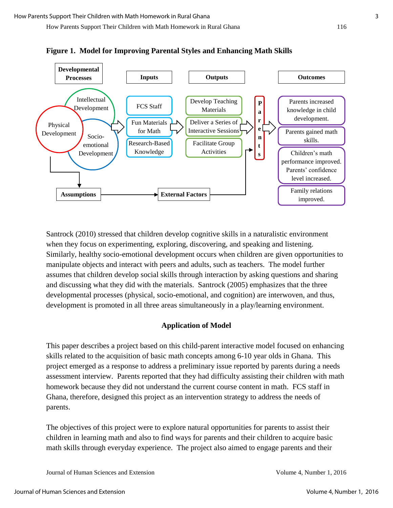How Parents Support Their Children with Math Homework in Rural Ghana 116



**Figure 1. Model for Improving Parental Styles and Enhancing Math Skills** 

Santrock (2010) stressed that children develop cognitive skills in a naturalistic environment when they focus on experimenting, exploring, discovering, and speaking and listening. Similarly, healthy socio-emotional development occurs when children are given opportunities to manipulate objects and interact with peers and adults, such as teachers. The model further assumes that children develop social skills through interaction by asking questions and sharing and discussing what they did with the materials. Santrock (2005) emphasizes that the three developmental processes (physical, socio-emotional, and cognition) are interwoven, and thus, development is promoted in all three areas simultaneously in a play/learning environment.

#### **Application of Model**

This paper describes a project based on this child-parent interactive model focused on enhancing skills related to the acquisition of basic math concepts among 6-10 year olds in Ghana. This project emerged as a response to address a preliminary issue reported by parents during a needs assessment interview. Parents reported that they had difficulty assisting their children with math homework because they did not understand the current course content in math. FCS staff in Ghana, therefore, designed this project as an intervention strategy to address the needs of parents.

The objectives of this project were to explore natural opportunities for parents to assist their children in learning math and also to find ways for parents and their children to acquire basic math skills through everyday experience. The project also aimed to engage parents and their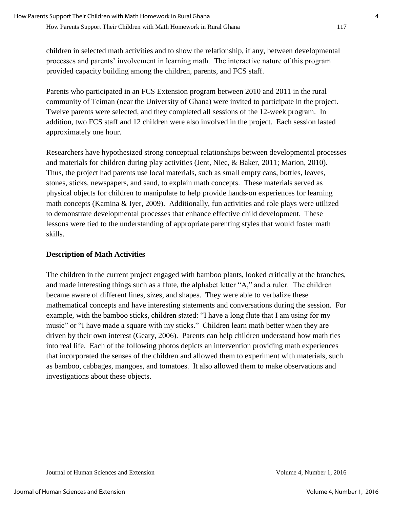children in selected math activities and to show the relationship, if any, between developmental processes and parents' involvement in learning math. The interactive nature of this program provided capacity building among the children, parents, and FCS staff.

Parents who participated in an FCS Extension program between 2010 and 2011 in the rural community of Teiman (near the University of Ghana) were invited to participate in the project. Twelve parents were selected, and they completed all sessions of the 12-week program. In addition, two FCS staff and 12 children were also involved in the project. Each session lasted approximately one hour.

Researchers have hypothesized strong conceptual relationships between developmental processes and materials for children during play activities (Jent, Niec, & Baker, 2011; Marion, 2010). Thus, the project had parents use local materials, such as small empty cans, bottles, leaves, stones, sticks, newspapers, and sand, to explain math concepts. These materials served as physical objects for children to manipulate to help provide hands-on experiences for learning math concepts (Kamina & Iyer, 2009). Additionally, fun activities and role plays were utilized to demonstrate developmental processes that enhance effective child development. These lessons were tied to the understanding of appropriate parenting styles that would foster math skills.

## **Description of Math Activities**

The children in the current project engaged with bamboo plants, looked critically at the branches, and made interesting things such as a flute, the alphabet letter "A," and a ruler. The children became aware of different lines, sizes, and shapes. They were able to verbalize these mathematical concepts and have interesting statements and conversations during the session. For example, with the bamboo sticks, children stated: "I have a long flute that I am using for my music" or "I have made a square with my sticks." Children learn math better when they are driven by their own interest (Geary, 2006). Parents can help children understand how math ties into real life. Each of the following photos depicts an intervention providing math experiences that incorporated the senses of the children and allowed them to experiment with materials, such as bamboo, cabbages, mangoes, and tomatoes. It also allowed them to make observations and investigations about these objects.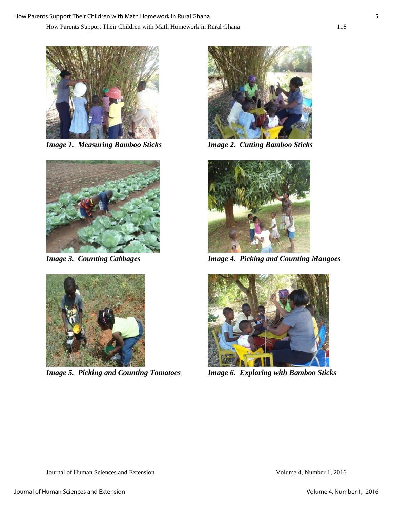

*Image 1. Measuring Bamboo Sticks Image 2. Cutting Bamboo Sticks* 





*Image 5. Picking and Counting Tomatoes Image 6. Exploring with Bamboo Sticks* 





*Image 3. Counting Cabbages Image 4. Picking and Counting Mangoes* 

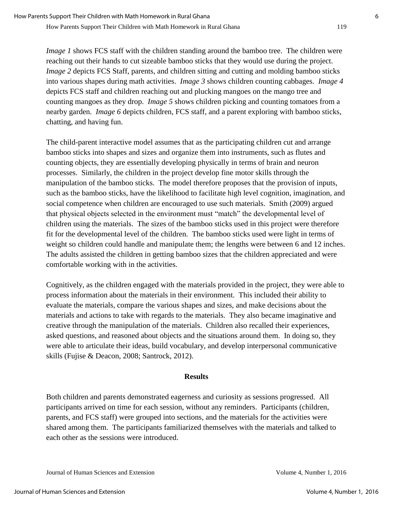*Image 1* shows FCS staff with the children standing around the bamboo tree. The children were reaching out their hands to cut sizeable bamboo sticks that they would use during the project. *Image 2* depicts FCS Staff, parents, and children sitting and cutting and molding bamboo sticks into various shapes during math activities. *Image 3* shows children counting cabbages. *Image 4* depicts FCS staff and children reaching out and plucking mangoes on the mango tree and counting mangoes as they drop. *Image 5* shows children picking and counting tomatoes from a nearby garden. *Image 6* depicts children, FCS staff, and a parent exploring with bamboo sticks, chatting, and having fun.

How Parents Support Their Children with Math Homework in Rural Ghana 119

The child-parent interactive model assumes that as the participating children cut and arrange bamboo sticks into shapes and sizes and organize them into instruments, such as flutes and counting objects, they are essentially developing physically in terms of brain and neuron processes. Similarly, the children in the project develop fine motor skills through the manipulation of the bamboo sticks. The model therefore proposes that the provision of inputs, such as the bamboo sticks, have the likelihood to facilitate high level cognition, imagination, and social competence when children are encouraged to use such materials. Smith (2009) argued that physical objects selected in the environment must "match" the developmental level of children using the materials. The sizes of the bamboo sticks used in this project were therefore fit for the developmental level of the children. The bamboo sticks used were light in terms of weight so children could handle and manipulate them; the lengths were between 6 and 12 inches. The adults assisted the children in getting bamboo sizes that the children appreciated and were comfortable working with in the activities.

Cognitively, as the children engaged with the materials provided in the project, they were able to process information about the materials in their environment. This included their ability to evaluate the materials, compare the various shapes and sizes, and make decisions about the materials and actions to take with regards to the materials. They also became imaginative and creative through the manipulation of the materials. Children also recalled their experiences, asked questions, and reasoned about objects and the situations around them. In doing so, they were able to articulate their ideas, build vocabulary, and develop interpersonal communicative skills (Fujise & Deacon, 2008; Santrock, 2012).

#### **Results**

Both children and parents demonstrated eagerness and curiosity as sessions progressed. All participants arrived on time for each session, without any reminders. Participants (children, parents, and FCS staff) were grouped into sections, and the materials for the activities were shared among them. The participants familiarized themselves with the materials and talked to each other as the sessions were introduced.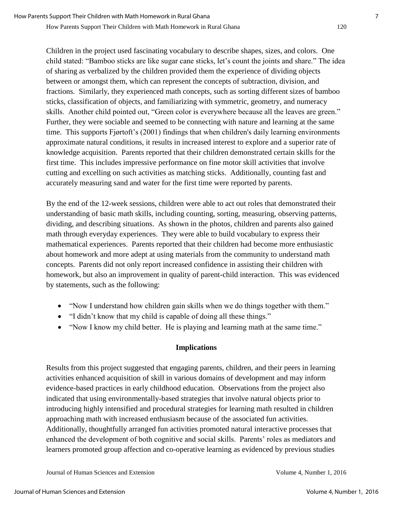How Parents Support Their Children with Math Homework in Rural Ghana 120

Children in the project used fascinating vocabulary to describe shapes, sizes, and colors. One child stated: "Bamboo sticks are like sugar cane sticks, let's count the joints and share." The idea of sharing as verbalized by the children provided them the experience of dividing objects between or amongst them, which can represent the concepts of subtraction, division, and fractions. Similarly, they experienced math concepts, such as sorting different sizes of bamboo sticks, classification of objects, and familiarizing with symmetric, geometry, and numeracy skills. Another child pointed out, "Green color is everywhere because all the leaves are green." Further, they were sociable and seemed to be connecting with nature and learning at the same time. This supports Fjørtoft's (2001) findings that when children's daily learning environments approximate natural conditions, it results in increased interest to explore and a superior rate of knowledge acquisition. Parents reported that their children demonstrated certain skills for the first time. This includes impressive performance on fine motor skill activities that involve cutting and excelling on such activities as matching sticks. Additionally, counting fast and accurately measuring sand and water for the first time were reported by parents.

By the end of the 12-week sessions, children were able to act out roles that demonstrated their understanding of basic math skills, including counting, sorting, measuring, observing patterns, dividing, and describing situations. As shown in the photos, children and parents also gained math through everyday experiences. They were able to build vocabulary to express their mathematical experiences. Parents reported that their children had become more enthusiastic about homework and more adept at using materials from the community to understand math concepts. Parents did not only report increased confidence in assisting their children with homework, but also an improvement in quality of parent-child interaction. This was evidenced by statements, such as the following:

- "Now I understand how children gain skills when we do things together with them."
- "I didn't know that my child is capable of doing all these things."
- "Now I know my child better. He is playing and learning math at the same time."

## **Implications**

Results from this project suggested that engaging parents, children, and their peers in learning activities enhanced acquisition of skill in various domains of development and may inform evidence-based practices in early childhood education. Observations from the project also indicated that using environmentally-based strategies that involve natural objects prior to introducing highly intensified and procedural strategies for learning math resulted in children approaching math with increased enthusiasm because of the associated fun activities. Additionally, thoughtfully arranged fun activities promoted natural interactive processes that enhanced the development of both cognitive and social skills. Parents' roles as mediators and learners promoted group affection and co-operative learning as evidenced by previous studies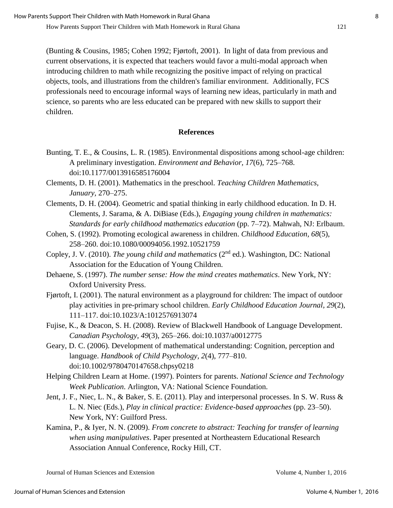(Bunting & Cousins, 1985; Cohen 1992; Fjørtoft, 2001). In light of data from previous and current observations, it is expected that teachers would favor a multi-modal approach when introducing children to math while recognizing the positive impact of relying on practical objects, tools, and illustrations from the children's familiar environment. Additionally, FCS professionals need to encourage informal ways of learning new ideas, particularly in math and science, so parents who are less educated can be prepared with new skills to support their children.

## **References**

- Bunting, T. E., & Cousins, L. R. (1985). Environmental dispositions among school-age children: A preliminary investigation. *Environment and Behavior, 17*(6), 725–768. doi:10.1177/0013916585176004
- Clements, D. H. (2001). Mathematics in the preschool. *Teaching Children Mathematics, January,* 270–275.
- Clements, D. H. (2004). Geometric and spatial thinking in early childhood education. In D. H. Clements, J. Sarama, & A. DiBiase (Eds.), *Engaging young children in mathematics: Standards for early childhood mathematics education* (pp. 7–72). Mahwah, NJ: Erlbaum.
- Cohen, S. (1992). Promoting ecological awareness in children. *Childhood Education, 68*(5), 258–260. doi:10.1080/00094056.1992.10521759
- Copley, J. V. (2010). *The young child and mathematics* (2nd ed.). Washington, DC: National Association for the Education of Young Children.
- Dehaene, S. (1997). *The number sense: How the mind creates mathematics*. New York, NY: Oxford University Press.
- Fjørtoft, I. (2001). The natural environment as a playground for children: The impact of outdoor play activities in pre-primary school children. *Early Childhood Education Journal, 29*(2), 111–117. doi:10.1023/A:1012576913074
- Fujise, K., & Deacon, S. H. (2008). Review of Blackwell Handbook of Language Development. *Canadian Psychology, 49*(3), 265–266. doi:10.1037/a0012775
- Geary, D. C. (2006). Development of mathematical understanding: Cognition, perception and language. *Handbook of Child Psychology, 2*(4), 777–810. doi:10.1002/9780470147658.chpsy0218
- Helping Children Learn at Home. (1997). Pointers for parents. *National Science and Technology Week Publication*. Arlington, VA: National Science Foundation.
- Jent, J. F., Niec, L. N., & Baker, S. E. (2011). Play and interpersonal processes. In S. W. Russ & L. N. Niec (Eds.), *Play in clinical practice: Evidence-based approaches* (pp. 23–50). New York, NY: Guilford Press.
- Kamina, P., & Iyer, N. N. (2009). *From concrete to abstract: Teaching for transfer of learning when using manipulatives*. Paper presented at Northeastern Educational Research Association Annual Conference, Rocky Hill, CT.